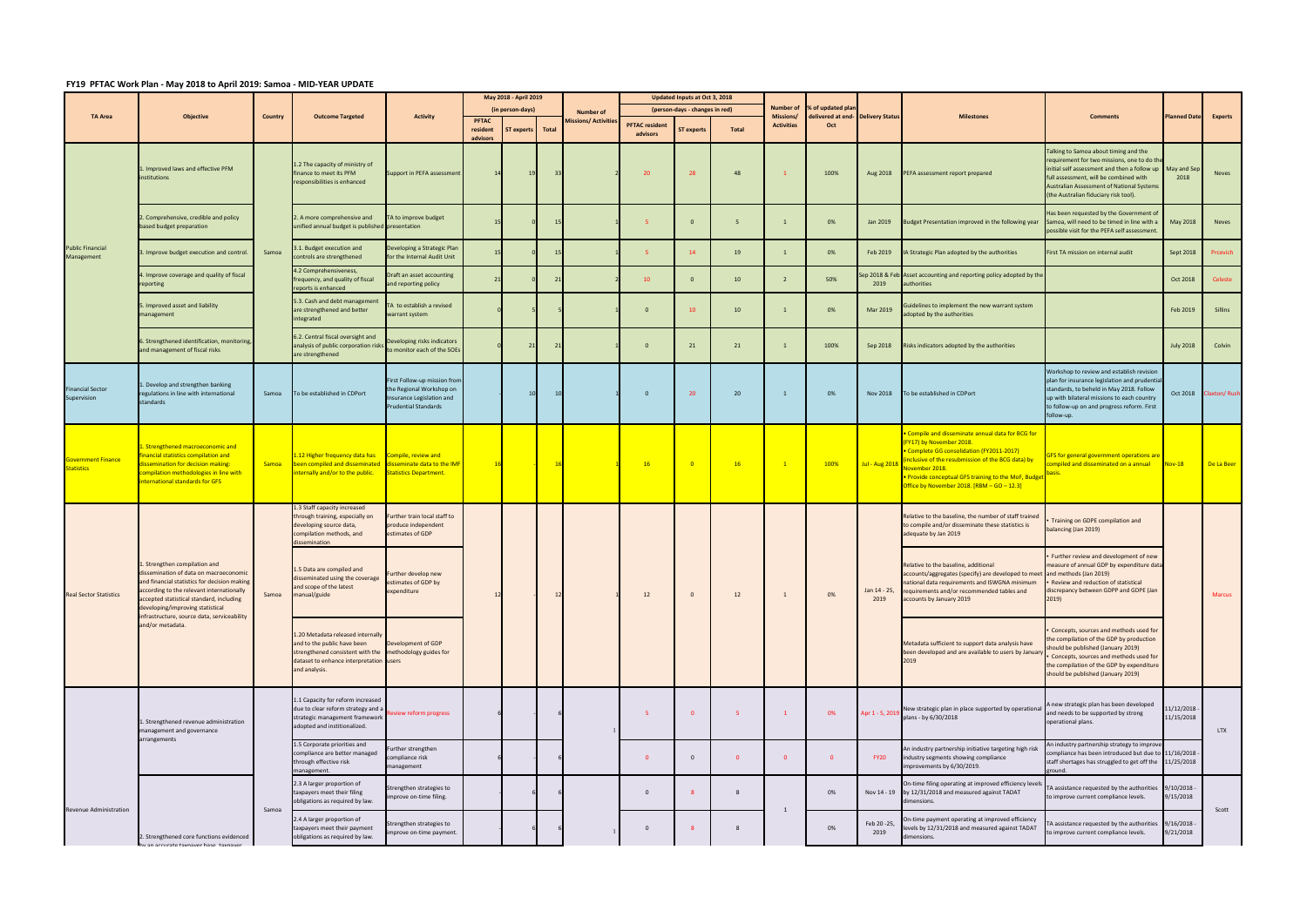## **FY19 PFTAC Work Plan ‐ May 2018 to April 2019: Samoa ‐ MID‐YEAR UPDATE**

|                                                | <b>Objective</b>                                                                                                                                                                                                                                                                                                       | Country      | <b>Outcome Targeted</b>                                                                                                                                                                 | <b>Activity</b>                                                                                                      | May 2018 - April 2019            |                    |                                          |  | Updated Inputs at Oct 3, 2018                           |                   |                 |                                      |                                                        |                      |                                                                                                                                                                                                                                                                                                                  |                                                                                                                                                                                                                                                                                         |                            |                     |
|------------------------------------------------|------------------------------------------------------------------------------------------------------------------------------------------------------------------------------------------------------------------------------------------------------------------------------------------------------------------------|--------------|-----------------------------------------------------------------------------------------------------------------------------------------------------------------------------------------|----------------------------------------------------------------------------------------------------------------------|----------------------------------|--------------------|------------------------------------------|--|---------------------------------------------------------|-------------------|-----------------|--------------------------------------|--------------------------------------------------------|----------------------|------------------------------------------------------------------------------------------------------------------------------------------------------------------------------------------------------------------------------------------------------------------------------------------------------------------|-----------------------------------------------------------------------------------------------------------------------------------------------------------------------------------------------------------------------------------------------------------------------------------------|----------------------------|---------------------|
| <b>TA Area</b>                                 |                                                                                                                                                                                                                                                                                                                        |              |                                                                                                                                                                                         |                                                                                                                      | (in person-days)<br><b>PFTAC</b> |                    | <b>Number of</b><br>Aissions/ Activities |  | (person-days - changes in red)<br><b>PFTAC resident</b> |                   |                 | <b>Number of</b><br><b>Missions/</b> | % of updated plar<br>delivered at end- Delivery Status |                      | <b>Milestones</b>                                                                                                                                                                                                                                                                                                | <b>Comments</b>                                                                                                                                                                                                                                                                         | <b>Planned Date</b>        | Experts             |
|                                                |                                                                                                                                                                                                                                                                                                                        |              |                                                                                                                                                                                         |                                                                                                                      | resident<br>advisors             | ST experts   Total |                                          |  | advisors                                                | <b>ST experts</b> | Total           | <b>Activities</b>                    | Oct                                                    |                      |                                                                                                                                                                                                                                                                                                                  |                                                                                                                                                                                                                                                                                         |                            |                     |
| <b>Public Financial</b><br>Management          | Improved laws and effective PFM<br>institutions                                                                                                                                                                                                                                                                        | Samoa        | 1.2 The capacity of ministry of<br>finance to meet its PFM<br>responsibilities is enhanced                                                                                              | Support in PEFA assessment                                                                                           |                                  | 19                 |                                          |  | 20                                                      | 28                | 48              |                                      | 100%                                                   | Aug 2018             | PEFA assessment report prepared                                                                                                                                                                                                                                                                                  | Talking to Samoa about timing and the<br>requirement for two missions, one to do the<br>initial self assessment and then a follow up May and Sep<br>full assessment, will be combined with<br><b>Australian Assessment of National Systems</b><br>(the Australian fiduciary risk tool). | 2018                       | <b>Neves</b>        |
|                                                | . Comprehensive, credible and policy<br>based budget preparation                                                                                                                                                                                                                                                       |              | 2. A more comprehensive and<br>unified annual budget is published presentation                                                                                                          | TA to improve budget                                                                                                 |                                  |                    |                                          |  |                                                         | $\Omega$          | 5               | $\mathbf{1}$                         | 0%                                                     | Jan 2019             | Budget Presentation improved in the following year                                                                                                                                                                                                                                                               | Has been requested by the Government of<br>Samoa, will need to be timed in line with a<br>possible visit for the PEFA self assessment                                                                                                                                                   | May 2018                   | <b>Neves</b>        |
|                                                | . Improve budget execution and control.                                                                                                                                                                                                                                                                                |              | .1. Budget execution and<br>controls are strengthened                                                                                                                                   | Developing a Strategic Plan<br>for the Internal Audit Unit                                                           |                                  |                    |                                          |  | -5                                                      | 14                | 19              |                                      | 0%                                                     | Feb 2019             | IA Strategic Plan adopted by the authorities                                                                                                                                                                                                                                                                     | First TA mission on internal audit                                                                                                                                                                                                                                                      | Sept 2018                  | Prcevich            |
|                                                | . Improve coverage and quality of fiscal<br>reporting                                                                                                                                                                                                                                                                  |              | 4.2 Comprehensiveness,<br>frequency, and quality of fiscal<br>reports is enhanced                                                                                                       | Draft an asset accounting<br>and reporting policy                                                                    |                                  |                    |                                          |  | 10 <sup>°</sup>                                         | $\Omega$          | 10 <sub>1</sub> | $\overline{2}$                       | 50%                                                    | 2019                 | ep 2018 & Feb Asset accounting and reporting policy adopted by the<br>authorities                                                                                                                                                                                                                                |                                                                                                                                                                                                                                                                                         | Oct 2018                   | Celeste             |
|                                                | . Improved asset and liability<br>management                                                                                                                                                                                                                                                                           |              | 5.3. Cash and debt management<br>are strengthened and better<br>integrated                                                                                                              | TA to establish a revised<br>warrant system                                                                          |                                  |                    |                                          |  | $\mathbf{0}$                                            | 10                | 10 <sub>1</sub> |                                      | 0%                                                     | Mar 2019             | Guidelines to implement the new warrant system<br>adopted by the authorities                                                                                                                                                                                                                                     |                                                                                                                                                                                                                                                                                         | Feb 2019                   | Sillins             |
|                                                | . Strengthened identification, monitoring,<br>and management of fiscal risks                                                                                                                                                                                                                                           |              | 6.2. Central fiscal oversight and<br>analysis of public corporation risks<br>are strengthened                                                                                           | Developing risks indicators<br>to monitor each of the SOEs                                                           |                                  | 21                 |                                          |  | $\overline{0}$                                          | 21                | 21              |                                      | 100%                                                   | Sep 2018             | Risks indicators adopted by the authorities                                                                                                                                                                                                                                                                      |                                                                                                                                                                                                                                                                                         | <b>July 2018</b>           | Colvin              |
| <b>Financial Sector</b><br>Supervision         | Develop and strengthen banking<br>regulations in line with international<br>standards                                                                                                                                                                                                                                  | Samoa        | To be established in CDPort                                                                                                                                                             | First Follow-up mission from<br>the Regional Workshop on<br>Insurance Legislation and<br><b>Prudential Standards</b> |                                  | 10                 |                                          |  | - 0                                                     | 20                | 20 <sub>2</sub> |                                      | 0%                                                     | Nov 2018             | To be established in CDPort                                                                                                                                                                                                                                                                                      | Workshop to review and establish revision<br>plan for insurance legislation and prudentia<br>standards, to beheld in May 2018. Follow<br>up with bilateral missions to each country<br>to follow-up on and progress reform. First<br>follow-up.                                         | Oct 2018                   | <b>Claxton/Rush</b> |
| <b>Government Finance</b><br><b>Statistics</b> | . Strengthened macroeconomic and<br>nancial statistics compilation and<br>lissemination for decision making:<br>ompilation methodologies in line with<br>nternational standards for GFS                                                                                                                                | <b>Samoa</b> | L.12 Higher frequency data has<br>been compiled and disseminated<br>nternally and/or to the public.                                                                                     | Compile, review and<br>disseminate data to the IMF<br>Statistics Department.                                         |                                  |                    |                                          |  | 16                                                      | $^{\circ}$        | 16              | $\mathbf{1}$                         | 100%                                                   | <b>Jul - Aug 201</b> | Compile and disseminate annual data for BCG for<br>(FY17) by November 2018.<br>Complete GG consolidation (FY2011-2017)<br>inclusive of the resubmission of the BCG data) by<br><mark>Jovember 2018.</mark><br>• Provide conceptual GFS training to the MoF, Budget<br>Office by November 2018. [RBM - GO - 12.3] | <u>GFS for general government operations are</u><br>compiled and disseminated on a annual<br><mark>basis.</mark>                                                                                                                                                                        | <b>Nov-18</b>              | De La Beer          |
| <b>Real Sector Statistics</b>                  | . Strengthen compilation and<br>dissemination of data on macroeconomic<br>Ind financial statistics for decision making<br>according to the relevant internationally<br>accepted statistical standard, including<br>developing/improving statistical<br>infrastructure, source data, serviceability<br>and/or metadata. | Samoa        | 1.3 Staff capacity increased<br>through training, especially on<br>developing source data,<br>compilation methods, and<br>lissemination                                                 | Further train local staff to<br>produce independent<br>estimates of GDP                                              |                                  |                    |                                          |  | 12                                                      | $\mathbf{0}$      | 12              |                                      | 0%                                                     | Jan 14 - 25,<br>2019 | Relative to the baseline, the number of staff trained<br>to compile and/or disseminate these statistics is<br>adequate by Jan 2019                                                                                                                                                                               | Training on GDPE compilation and<br>balancing (Jan 2019)                                                                                                                                                                                                                                |                            |                     |
|                                                |                                                                                                                                                                                                                                                                                                                        |              | 1.5 Data are compiled and<br>disseminated using the coverage<br>and scope of the latest<br>manual/guide                                                                                 | Further develop new<br>estimates of GDP by<br>expenditure                                                            |                                  |                    |                                          |  |                                                         |                   |                 |                                      |                                                        |                      | Relative to the baseline, additional<br>accounts/aggregates (specify) are developed to meet and methods (Jan 2019)<br>national data requirements and ISWGNA minimum<br>requirements and/or recommended tables and<br>accounts by January 2019                                                                    | Further review and development of new<br>measure of annual GDP by expenditure data<br>- Review and reduction of statistical<br>discrepancy between GDPP and GDPE (Jan<br>2019)                                                                                                          |                            | <b>Marcus</b>       |
|                                                |                                                                                                                                                                                                                                                                                                                        |              | 1.20 Metadata released internally<br>and to the public have been<br>strengthened consistent with the methodology guides for<br>dataset to enhance interpretation users<br>and analysis. | Development of GDP                                                                                                   |                                  |                    |                                          |  |                                                         |                   |                 |                                      |                                                        |                      | Metadata sufficient to support data analysis have<br>been developed and are available to users by January<br>2019                                                                                                                                                                                                | Concepts, sources and methods used for<br>the compilation of the GDP by production<br>hould be published (January 2019)<br>• Concepts, sources and methods used for<br>the compilation of the GDP by expenditure<br>should be published (January 2019)                                  |                            |                     |
|                                                | 1. Strengthened revenue administration<br>management and governance<br>arrangements                                                                                                                                                                                                                                    |              | 1.1 Capacity for reform increased<br>due to clear reform strategy and a<br>strategic management framework<br>adopted and institionalized.                                               | eview reform progress                                                                                                |                                  |                    |                                          |  | -5<br>$\Omega$                                          | $\mathbf{0}$      | 5 <sub>5</sub>  | $\mathbf{1}$                         | 0%                                                     |                      | New strategic plan in place supported by operationa<br>Apr 1 - 5, 2019 plans - by 6/30/2018                                                                                                                                                                                                                      | A new strategic plan has been developed<br>and needs to be supported by strong<br>operational plans.                                                                                                                                                                                    | 11/12/2018<br>11/15/2018   | <b>LTX</b>          |
|                                                |                                                                                                                                                                                                                                                                                                                        |              | 1.5 Corporate priorities and<br>compliance are better managed<br>through effective risk<br>management.                                                                                  | Further strengthen<br>compliance risk<br>management                                                                  |                                  |                    |                                          |  |                                                         | $\mathbf{0}$      | $\overline{0}$  | $\overline{0}$                       | $\mathbf{0}$                                           | FY <sub>20</sub>     | An industry partnership initiative targeting high risk<br>industry segments showing compliance<br>improvements by 6/30/2019.                                                                                                                                                                                     | An industry partnership strategy to improve<br>compliance has been introduced but due to<br>staff shortages has struggled to get off the<br>ground.                                                                                                                                     | 11/16/2018<br>11/25/2018   |                     |
| Revenue Administration                         | 2. Strengthened core functions evidenced<br>hy an accurate taxnayer hase taxnayer                                                                                                                                                                                                                                      | Samoa        | 2.3 A larger proportion of<br>taxpayers meet their filing<br>obligations as required by law.                                                                                            | Strengthen strategies to<br>improve on-time filing.                                                                  |                                  |                    |                                          |  | $\mathbf{0}$                                            |                   | 8               |                                      | 0%                                                     |                      | On-time filing operating at improved efficiency levels<br>Nov 14 - 19 by 12/31/2018 and measured against TADAT<br>dimensions.                                                                                                                                                                                    | TA assistance requested by the authorities<br>to improve current compliance levels.                                                                                                                                                                                                     | $9/10/2018 -$<br>9/15/2018 |                     |
|                                                |                                                                                                                                                                                                                                                                                                                        |              | 2.4 A larger proportion of<br>taxpayers meet their payment<br>obligations as required by law.                                                                                           | Strengthen strategies to<br>improve on-time payment.                                                                 |                                  |                    |                                          |  | $\mathbf{0}$                                            |                   | 8               | 1                                    | 0%                                                     | Feb 20-25,<br>2019   | On-time payment operating at improved efficiency<br>levels by 12/31/2018 and measured against TADAT<br>dimensions.                                                                                                                                                                                               | A assistance requested by the authorities<br>to improve current compliance levels.                                                                                                                                                                                                      | 9/16/2018<br>9/21/2018     | Scott               |